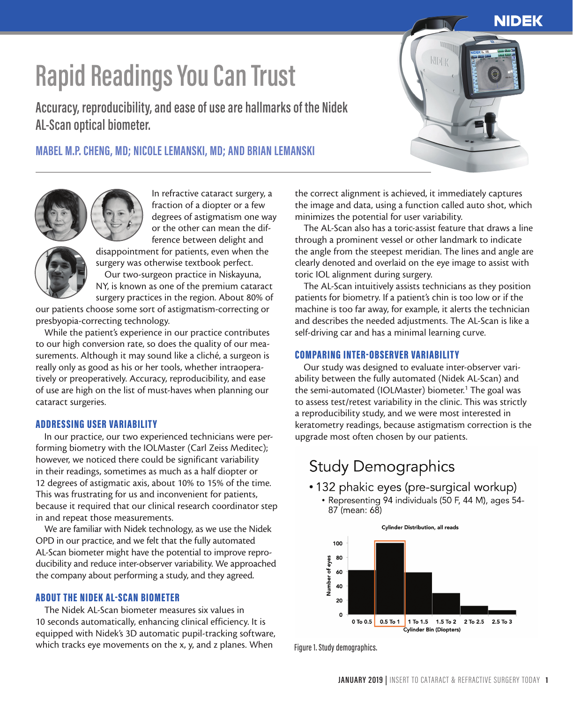## **NIDEK**

# **Rapid Readings You Can Trust**

**Accuracy, reproducibility, and ease of use are hallmarks of the Nidek AL-Scan optical biometer.**

# **MABEL M.P. CHENG, MD; NICOLE LEMANSKI, MD; AND BRIAN LEMANSKI**



In refractive cataract surgery, a fraction of a diopter or a few degrees of astigmatism one way or the other can mean the difference between delight and

disappointment for patients, even when the surgery was otherwise textbook perfect. Our two-surgeon practice in Niskayuna, NY, is known as one of the premium cataract

surgery practices in the region. About 80% of our patients choose some sort of astigmatism-correcting or presbyopia-correcting technology.

While the patient's experience in our practice contributes to our high conversion rate, so does the quality of our measurements. Although it may sound like a cliché, a surgeon is really only as good as his or her tools, whether intraoperatively or preoperatively. Accuracy, reproducibility, and ease of use are high on the list of must-haves when planning our cataract surgeries.

#### ADDRESSING USER VARIABILITY

In our practice, our two experienced technicians were performing biometry with the IOLMaster (Carl Zeiss Meditec); however, we noticed there could be significant variability in their readings, sometimes as much as a half diopter or 12 degrees of astigmatic axis, about 10% to 15% of the time. This was frustrating for us and inconvenient for patients, because it required that our clinical research coordinator step in and repeat those measurements.

We are familiar with Nidek technology, as we use the Nidek OPD in our practice, and we felt that the fully automated AL-Scan biometer might have the potential to improve reproducibility and reduce inter-observer variability. We approached the company about performing a study, and they agreed.

#### ABOUT THE NIDEK AL-SCAN BIOMETER

The Nidek AL-Scan biometer measures six values in 10 seconds automatically, enhancing clinical efficiency. It is equipped with Nidek's 3D automatic pupil-tracking software, which tracks eye movements on the x, y, and z planes. When

the correct alignment is achieved, it immediately captures the image and data, using a function called auto shot, which minimizes the potential for user variability.

**NDEK** 

The AL-Scan also has a toric-assist feature that draws a line through a prominent vessel or other landmark to indicate the angle from the steepest meridian. The lines and angle are clearly denoted and overlaid on the eye image to assist with toric IOL alignment during surgery.

The AL-Scan intuitively assists technicians as they position patients for biometry. If a patient's chin is too low or if the machine is too far away, for example, it alerts the technician and describes the needed adjustments. The AL-Scan is like a self-driving car and has a minimal learning curve.

### COMPARING INTER-OBSERVER VARIABILITY

Our study was designed to evaluate inter-observer variability between the fully automated (Nidek AL-Scan) and the semi-automated (IOLMaster) biometer.<sup>1</sup> The goal was to assess test/retest variability in the clinic. This was strictly a reproducibility study, and we were most interested in keratometry readings, because astigmatism correction is the upgrade most often chosen by our patients.

# **Study Demographics**

- 132 phakic eyes (pre-surgical workup)
	- Representing 94 individuals (50 F, 44 M), ages 54-87 (mean: 68)



Figure 1. Study demographics.